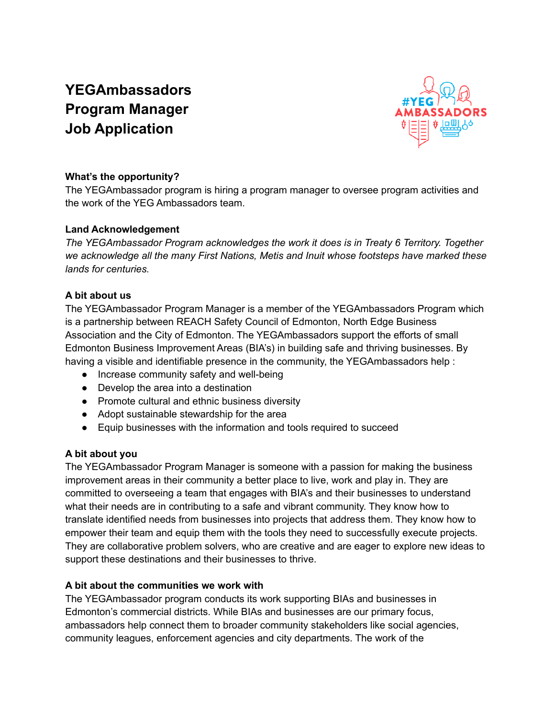# **YEGAmbassadors Program Manager Job Application**



## **What's the opportunity?**

The YEGAmbassador program is hiring a program manager to oversee program activities and the work of the YEG Ambassadors team.

#### **Land Acknowledgement**

*The YEGAmbassador Program acknowledges the work it does is in Treaty 6 Territory. Together we acknowledge all the many First Nations, Metis and Inuit whose footsteps have marked these lands for centuries.*

## **A bit about us**

The YEGAmbassador Program Manager is a member of the YEGAmbassadors Program which is a partnership between REACH Safety Council of Edmonton, North Edge Business Association and the City of Edmonton. The YEGAmbassadors support the efforts of small Edmonton Business Improvement Areas (BIA's) in building safe and thriving businesses. By having a visible and identifiable presence in the community, the YEGAmbassadors help :

- Increase community safety and well-being
- Develop the area into a destination
- Promote cultural and ethnic business diversity
- Adopt sustainable stewardship for the area
- Equip businesses with the information and tools required to succeed

## **A bit about you**

The YEGAmbassador Program Manager is someone with a passion for making the business improvement areas in their community a better place to live, work and play in. They are committed to overseeing a team that engages with BIA's and their businesses to understand what their needs are in contributing to a safe and vibrant community. They know how to translate identified needs from businesses into projects that address them. They know how to empower their team and equip them with the tools they need to successfully execute projects. They are collaborative problem solvers, who are creative and are eager to explore new ideas to support these destinations and their businesses to thrive.

#### **A bit about the communities we work with**

The YEGAmbassador program conducts its work supporting BIAs and businesses in Edmonton's commercial districts. While BIAs and businesses are our primary focus, ambassadors help connect them to broader community stakeholders like social agencies, community leagues, enforcement agencies and city departments. The work of the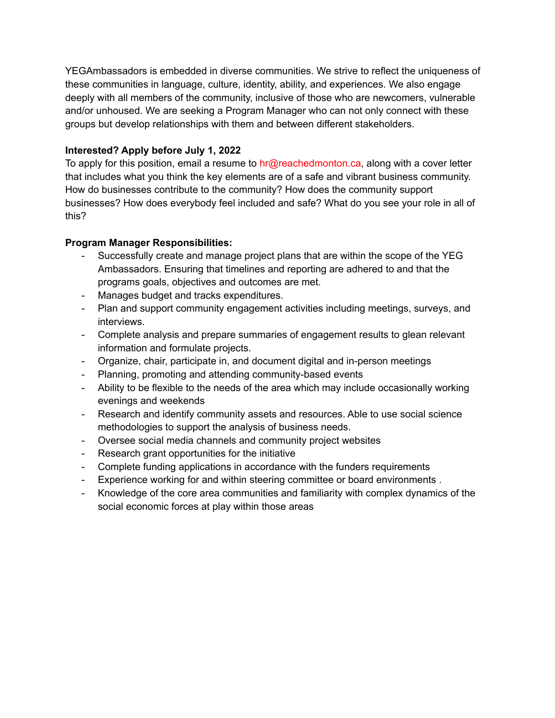YEGAmbassadors is embedded in diverse communities. We strive to reflect the uniqueness of these communities in language, culture, identity, ability, and experiences. We also engage deeply with all members of the community, inclusive of those who are newcomers, vulnerable and/or unhoused. We are seeking a Program Manager who can not only connect with these groups but develop relationships with them and between different stakeholders.

## **Interested? Apply before July 1, 2022**

To apply for this position, email a resume to hr@reachedmonton.ca, along with a cover letter that includes what you think the key elements are of a safe and vibrant business community. How do businesses contribute to the community? How does the community support businesses? How does everybody feel included and safe? What do you see your role in all of this?

## **Program Manager Responsibilities:**

- Successfully create and manage project plans that are within the scope of the YEG Ambassadors. Ensuring that timelines and reporting are adhered to and that the programs goals, objectives and outcomes are met.
- Manages budget and tracks expenditures.
- Plan and support community engagement activities including meetings, surveys, and interviews.
- Complete analysis and prepare summaries of engagement results to glean relevant information and formulate projects.
- Organize, chair, participate in, and document digital and in-person meetings
- Planning, promoting and attending community-based events
- Ability to be flexible to the needs of the area which may include occasionally working evenings and weekends
- Research and identify community assets and resources. Able to use social science methodologies to support the analysis of business needs.
- Oversee social media channels and community project websites
- Research grant opportunities for the initiative
- Complete funding applications in accordance with the funders requirements
- Experience working for and within steering committee or board environments .
- Knowledge of the core area communities and familiarity with complex dynamics of the social economic forces at play within those areas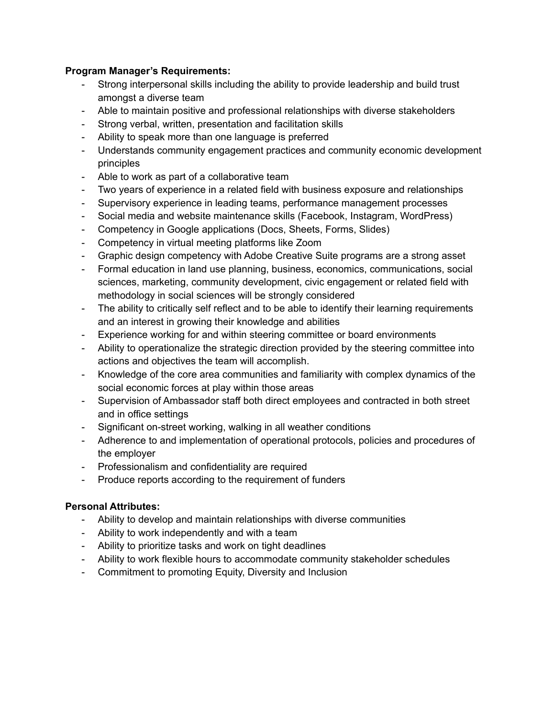#### **Program Manager's Requirements:**

- Strong interpersonal skills including the ability to provide leadership and build trust amongst a diverse team
- Able to maintain positive and professional relationships with diverse stakeholders
- Strong verbal, written, presentation and facilitation skills
- Ability to speak more than one language is preferred
- Understands community engagement practices and community economic development principles
- Able to work as part of a collaborative team
- Two years of experience in a related field with business exposure and relationships
- Supervisory experience in leading teams, performance management processes
- Social media and website maintenance skills (Facebook, Instagram, WordPress)
- Competency in Google applications (Docs, Sheets, Forms, Slides)
- Competency in virtual meeting platforms like Zoom
- Graphic design competency with Adobe Creative Suite programs are a strong asset
- Formal education in land use planning, business, economics, communications, social sciences, marketing, community development, civic engagement or related field with methodology in social sciences will be strongly considered
- The ability to critically self reflect and to be able to identify their learning requirements and an interest in growing their knowledge and abilities
- Experience working for and within steering committee or board environments
- Ability to operationalize the strategic direction provided by the steering committee into actions and objectives the team will accomplish.
- Knowledge of the core area communities and familiarity with complex dynamics of the social economic forces at play within those areas
- Supervision of Ambassador staff both direct employees and contracted in both street and in office settings
- Significant on-street working, walking in all weather conditions
- Adherence to and implementation of operational protocols, policies and procedures of the employer
- Professionalism and confidentiality are required
- Produce reports according to the requirement of funders

#### **Personal Attributes:**

- Ability to develop and maintain relationships with diverse communities
- Ability to work independently and with a team
- Ability to prioritize tasks and work on tight deadlines
- Ability to work flexible hours to accommodate community stakeholder schedules
- Commitment to promoting Equity, Diversity and Inclusion